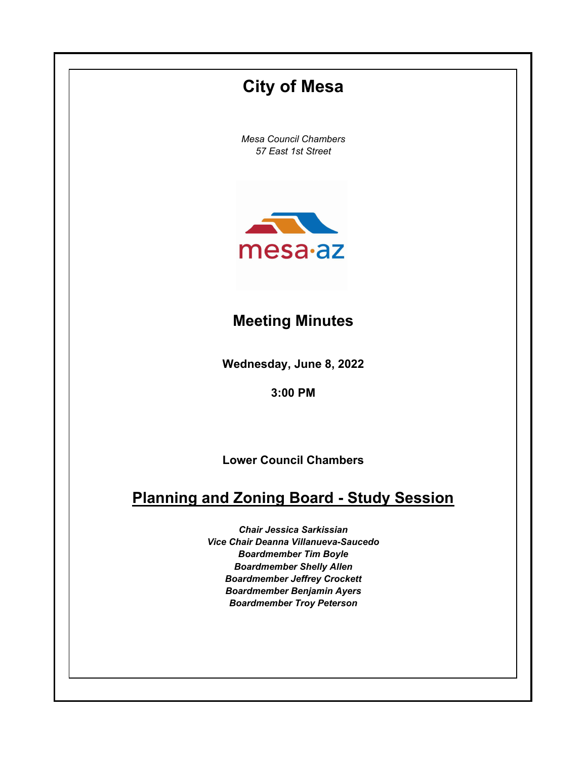